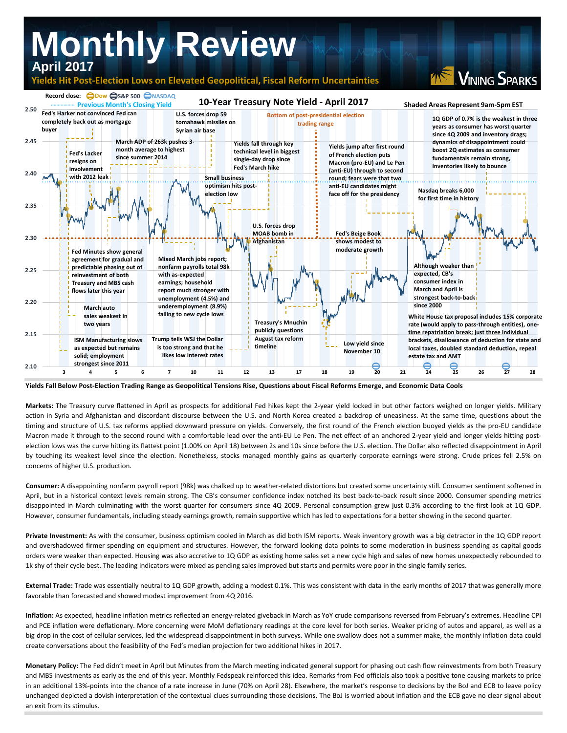

**Yields Fall Below Post-Election Trading Range as Geopolitical Tensions Rise, Questions about Fiscal Reforms Emerge, and Economic Data Cools**

**Markets:** The Treasury curve flattened in April as prospects for additional Fed hikes kept the 2-year yield locked in but other factors weighed on longer yields. Military action in Syria and Afghanistan and discordant discourse between the U.S. and North Korea created a backdrop of uneasiness. At the same time, questions about the timing and structure of U.S. tax reforms applied downward pressure on yields. Conversely, the first round of the French election buoyed yields as the pro-EU candidate Macron made it through to the second round with a comfortable lead over the anti-EU Le Pen. The net effect of an anchored 2-year yield and longer yields hitting postelection lows was the curve hitting its flattest point (1.00% on April 18) between 2s and 10s since before the U.S. election. The Dollar also reflected disappointment in April by touching its weakest level since the election. Nonetheless, stocks managed monthly gains as quarterly corporate earnings were strong. Crude prices fell 2.5% on concerns of higher U.S. production.

**Consumer:** A disappointing nonfarm payroll report (98k) was chalked up to weather-related distortions but created some uncertainty still. Consumer sentiment softened in April, but in a historical context levels remain strong. The CB's consumer confidence index notched its best back-to-back result since 2000. Consumer spending metrics disappointed in March culminating with the worst quarter for consumers since 4Q 2009. Personal consumption grew just 0.3% according to the first look at 1Q GDP. However, consumer fundamentals, including steady earnings growth, remain supportive which has led to expectations for a better showing in the second quarter.

**Private Investment:** As with the consumer, business optimism cooled in March as did both ISM reports. Weak inventory growth was a big detractor in the 1Q GDP report and overshadowed firmer spending on equipment and structures. However, the forward looking data points to some moderation in business spending as capital goods orders were weaker than expected. Housing was also accretive to 1Q GDP as existing home sales set a new cycle high and sales of new homes unexpectedly rebounded to 1k shy of their cycle best. The leading indicators were mixed as pending sales improved but starts and permits were poor in the single family series.

**External Trade:** Trade was essentially neutral to 1Q GDP growth, adding a modest 0.1%. This was consistent with data in the early months of 2017 that was generally more favorable than forecasted and showed modest improvement from 4Q 2016.

**Inflation:** As expected, headline inflation metrics reflected an energy-related giveback in March as YoY crude comparisons reversed from February's extremes. Headline CPI and PCE inflation were deflationary. More concerning were MoM deflationary readings at the core level for both series. Weaker pricing of autos and apparel, as well as a big drop in the cost of cellular services, led the widespread disappointment in both surveys. While one swallow does not a summer make, the monthly inflation data could create conversations about the feasibility of the Fed's median projection for two additional hikes in 2017.

**Monetary Policy:** The Fed didn't meet in April but Minutes from the March meeting indicated general support for phasing out cash flow reinvestments from both Treasury and MBS investments as early as the end of this year. Monthly Fedspeak reinforced this idea. Remarks from Fed officials also took a positive tone causing markets to price in an additional 13%-points into the chance of a rate increase in June (70% on April 28). Elsewhere, the market's response to decisions by the BoJ and ECB to leave policy unchanged depicted a dovish interpretation of the contextual clues surrounding those decisions. The BoJ is worried about inflation and the ECB gave no clear signal about an exit from its stimulus.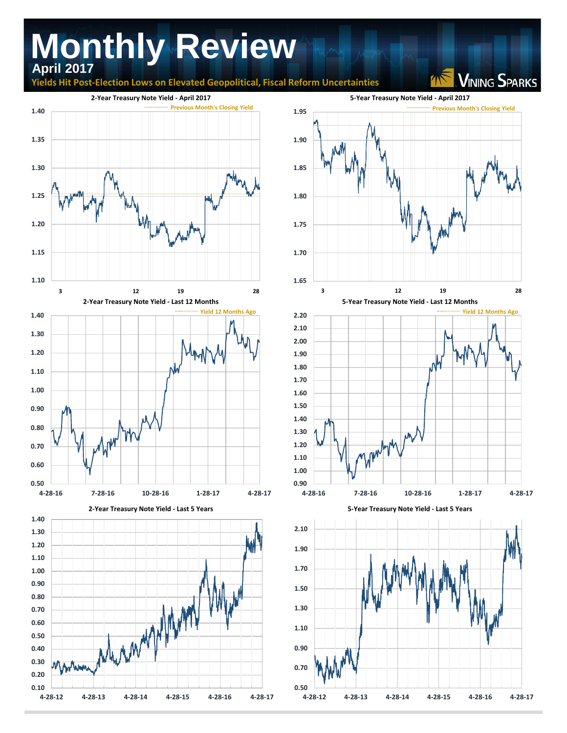## **Monthly Review April 2017**

**Righta Hit Post-Election Lows on Elevated Geopolitical, Fiscal Reform Uncertainties** 

**VINING SPARKS**